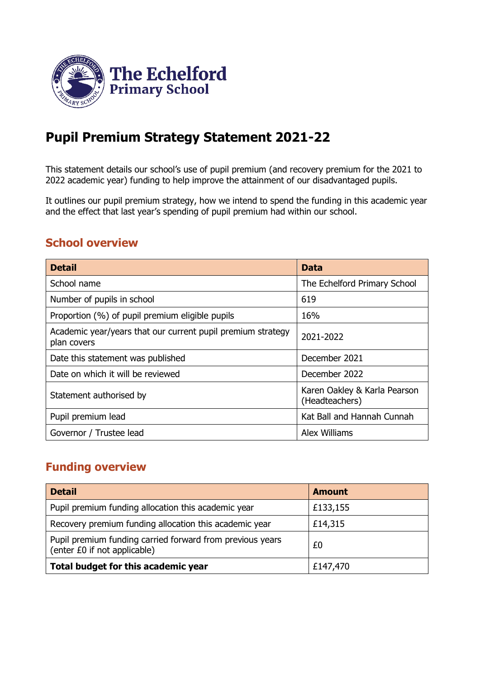

# **Pupil Premium Strategy Statement 2021-22**

This statement details our school's use of pupil premium (and recovery premium for the 2021 to 2022 academic year) funding to help improve the attainment of our disadvantaged pupils.

It outlines our pupil premium strategy, how we intend to spend the funding in this academic year and the effect that last year's spending of pupil premium had within our school.

### **School overview**

| <b>Detail</b>                                                              | <b>Data</b>                                    |
|----------------------------------------------------------------------------|------------------------------------------------|
| School name                                                                | The Echelford Primary School                   |
| Number of pupils in school                                                 | 619                                            |
| Proportion (%) of pupil premium eligible pupils                            | 16%                                            |
| Academic year/years that our current pupil premium strategy<br>plan covers | 2021-2022                                      |
| Date this statement was published                                          | December 2021                                  |
| Date on which it will be reviewed                                          | December 2022                                  |
| Statement authorised by                                                    | Karen Oakley & Karla Pearson<br>(Headteachers) |
| Pupil premium lead                                                         | Kat Ball and Hannah Cunnah                     |
| Governor / Trustee lead                                                    | <b>Alex Williams</b>                           |

### **Funding overview**

| <b>Detail</b>                                                                             | <b>Amount</b> |
|-------------------------------------------------------------------------------------------|---------------|
| Pupil premium funding allocation this academic year                                       | £133,155      |
| Recovery premium funding allocation this academic year                                    | £14,315       |
| Pupil premium funding carried forward from previous years<br>(enter £0 if not applicable) | £0            |
| Total budget for this academic year                                                       | £147,470      |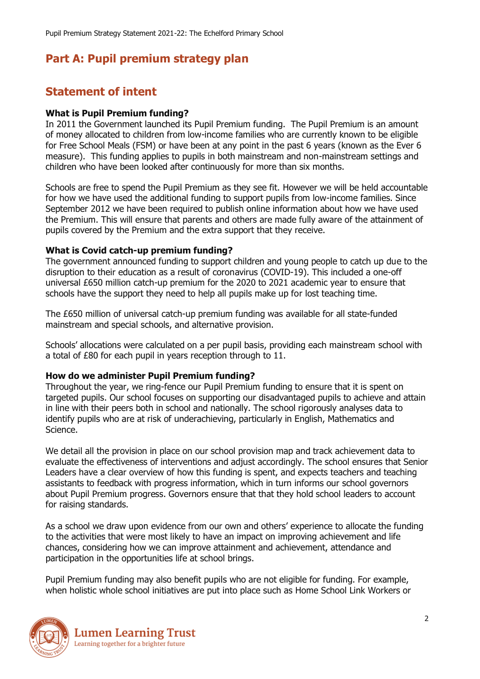# **Part A: Pupil premium strategy plan**

# **Statement of intent**

#### **What is Pupil Premium funding?**

In 2011 the Government launched its Pupil Premium funding. The Pupil Premium is an amount of money allocated to children from low-income families who are currently known to be eligible for Free School Meals (FSM) or have been at any point in the past 6 years (known as the Ever 6 measure). This funding applies to pupils in both mainstream and non-mainstream settings and children who have been looked after continuously for more than six months.

Schools are free to spend the Pupil Premium as they see fit. However we will be held accountable for how we have used the additional funding to support pupils from low-income families. Since September 2012 we have been required to publish online information about how we have used the Premium. This will ensure that parents and others are made fully aware of the attainment of pupils covered by the Premium and the extra support that they receive.

#### **What is Covid catch-up premium funding?**

The government announced funding to support children and young people to catch up due to the disruption to their education as a result of coronavirus (COVID-19). This included a one-off universal £650 million catch-up premium for the 2020 to 2021 academic year to ensure that schools have the support they need to help all pupils make up for lost teaching time.

The £650 million of universal catch-up premium funding was available for all state-funded mainstream and special schools, and alternative provision.

Schools' allocations were calculated on a per pupil basis, providing each mainstream school with a total of £80 for each pupil in years reception through to 11.

#### **How do we administer Pupil Premium funding?**

Throughout the year, we ring-fence our Pupil Premium funding to ensure that it is spent on targeted pupils. Our school focuses on supporting our disadvantaged pupils to achieve and attain in line with their peers both in school and nationally. The school rigorously analyses data to identify pupils who are at risk of underachieving, particularly in English, Mathematics and Science.

We detail all the provision in place on our school provision map and track achievement data to evaluate the effectiveness of interventions and adjust accordingly. The school ensures that Senior Leaders have a clear overview of how this funding is spent, and expects teachers and teaching assistants to feedback with progress information, which in turn informs our school governors about Pupil Premium progress. Governors ensure that that they hold school leaders to account for raising standards.

As a school we draw upon evidence from our own and others' experience to allocate the funding to the activities that were most likely to have an impact on improving achievement and life chances, considering how we can improve attainment and achievement, attendance and participation in the opportunities life at school brings.

Pupil Premium funding may also benefit pupils who are not eligible for funding. For example, when holistic whole school initiatives are put into place such as Home School Link Workers or

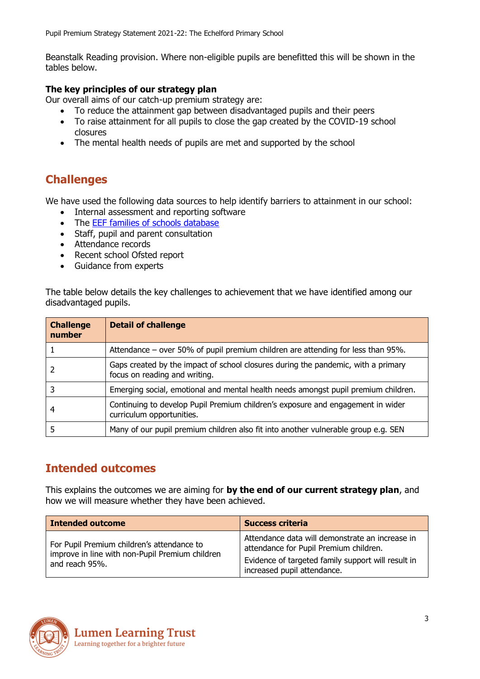Beanstalk Reading provision. Where non-eligible pupils are benefitted this will be shown in the tables below.

#### **The key principles of our strategy plan**

Our overall aims of our catch-up premium strategy are:

- To reduce the attainment gap between disadvantaged pupils and their peers
- To raise attainment for all pupils to close the gap created by the COVID-19 school closures
- The mental health needs of pupils are met and supported by the school

## **Challenges**

We have used the following data sources to help identify barriers to attainment in our school:

- Internal assessment and reporting software
- The **EEF families of schools database**
- Staff, pupil and parent consultation
- Attendance records
- Recent school Ofsted report
- Guidance from experts

The table below details the key challenges to achievement that we have identified among our disadvantaged pupils.

| <b>Challenge</b><br>number | <b>Detail of challenge</b>                                                                                         |
|----------------------------|--------------------------------------------------------------------------------------------------------------------|
|                            | Attendance – over 50% of pupil premium children are attending for less than 95%.                                   |
|                            | Gaps created by the impact of school closures during the pandemic, with a primary<br>focus on reading and writing. |
|                            | Emerging social, emotional and mental health needs amongst pupil premium children.                                 |
|                            | Continuing to develop Pupil Premium children's exposure and engagement in wider<br>curriculum opportunities.       |
|                            | Many of our pupil premium children also fit into another vulnerable group e.g. SEN                                 |

### **Intended outcomes**

This explains the outcomes we are aiming for **by the end of our current strategy plan**, and how we will measure whether they have been achieved.

| <b>Intended outcome</b>                                                                                         | <b>Success criteria</b>                                                                                                                                                        |
|-----------------------------------------------------------------------------------------------------------------|--------------------------------------------------------------------------------------------------------------------------------------------------------------------------------|
| For Pupil Premium children's attendance to<br>improve in line with non-Pupil Premium children<br>and reach 95%. | Attendance data will demonstrate an increase in<br>attendance for Pupil Premium children.<br>Evidence of targeted family support will result in<br>increased pupil attendance. |

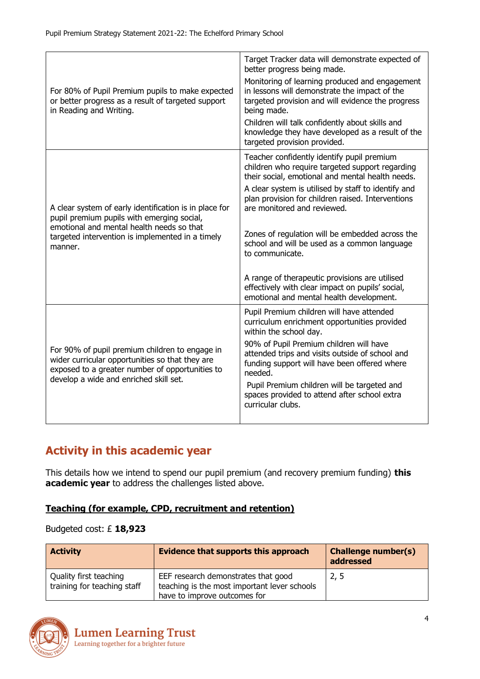| For 80% of Pupil Premium pupils to make expected<br>or better progress as a result of targeted support<br>in Reading and Writing.                                                                                | Target Tracker data will demonstrate expected of<br>better progress being made.<br>Monitoring of learning produced and engagement<br>in lessons will demonstrate the impact of the<br>targeted provision and will evidence the progress<br>being made.<br>Children will talk confidently about skills and<br>knowledge they have developed as a result of the<br>targeted provision provided.                                                                                                                                                                        |
|------------------------------------------------------------------------------------------------------------------------------------------------------------------------------------------------------------------|----------------------------------------------------------------------------------------------------------------------------------------------------------------------------------------------------------------------------------------------------------------------------------------------------------------------------------------------------------------------------------------------------------------------------------------------------------------------------------------------------------------------------------------------------------------------|
| A clear system of early identification is in place for<br>pupil premium pupils with emerging social,<br>emotional and mental health needs so that<br>targeted intervention is implemented in a timely<br>manner. | Teacher confidently identify pupil premium<br>children who require targeted support regarding<br>their social, emotional and mental health needs.<br>A clear system is utilised by staff to identify and<br>plan provision for children raised. Interventions<br>are monitored and reviewed.<br>Zones of regulation will be embedded across the<br>school and will be used as a common language<br>to communicate.<br>A range of therapeutic provisions are utilised<br>effectively with clear impact on pupils' social,<br>emotional and mental health development. |
| For 90% of pupil premium children to engage in<br>wider curricular opportunities so that they are<br>exposed to a greater number of opportunities to<br>develop a wide and enriched skill set.                   | Pupil Premium children will have attended<br>curriculum enrichment opportunities provided<br>within the school day.<br>90% of Pupil Premium children will have<br>attended trips and visits outside of school and<br>funding support will have been offered where<br>needed.<br>Pupil Premium children will be targeted and<br>spaces provided to attend after school extra<br>curricular clubs.                                                                                                                                                                     |

# **Activity in this academic year**

This details how we intend to spend our pupil premium (and recovery premium funding) **this academic year** to address the challenges listed above.

#### **Teaching (for example, CPD, recruitment and retention)**

#### Budgeted cost: £ **18,923**

| <b>Activity</b>                                       | <b>Evidence that supports this approach</b>                                                                         | <b>Challenge number(s)</b><br>addressed |
|-------------------------------------------------------|---------------------------------------------------------------------------------------------------------------------|-----------------------------------------|
| Quality first teaching<br>training for teaching staff | EEF research demonstrates that good<br>teaching is the most important lever schools<br>have to improve outcomes for | 2, 5                                    |

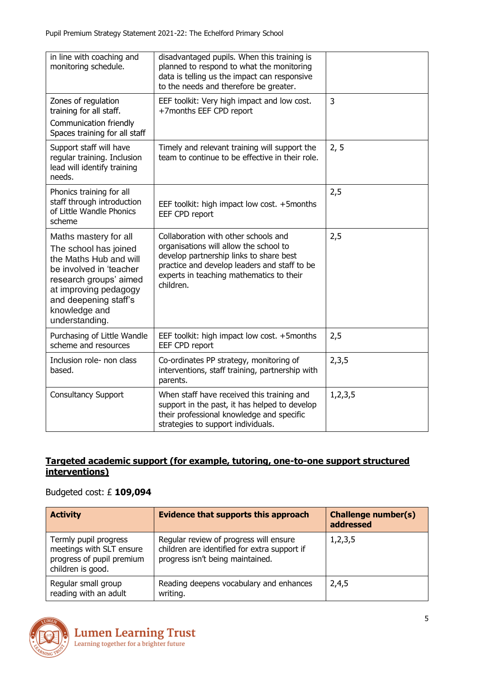| in line with coaching and<br>monitoring schedule.                                                                                                                                                                  | disadvantaged pupils. When this training is<br>planned to respond to what the monitoring<br>data is telling us the impact can responsive<br>to the needs and therefore be greater.                                                 |            |
|--------------------------------------------------------------------------------------------------------------------------------------------------------------------------------------------------------------------|------------------------------------------------------------------------------------------------------------------------------------------------------------------------------------------------------------------------------------|------------|
| Zones of regulation<br>training for all staff.<br>Communication friendly<br>Spaces training for all staff                                                                                                          | EEF toolkit: Very high impact and low cost.<br>+7months EEF CPD report                                                                                                                                                             | 3          |
| Support staff will have<br>regular training. Inclusion<br>lead will identify training<br>needs.                                                                                                                    | Timely and relevant training will support the<br>team to continue to be effective in their role.                                                                                                                                   | 2, 5       |
| Phonics training for all<br>staff through introduction<br>of Little Wandle Phonics<br>scheme                                                                                                                       | EEF toolkit: high impact low cost. +5months<br>EEF CPD report                                                                                                                                                                      | 2,5        |
| Maths mastery for all<br>The school has joined<br>the Maths Hub and will<br>be involved in 'teacher<br>research groups' aimed<br>at improving pedagogy<br>and deepening staff's<br>knowledge and<br>understanding. | Collaboration with other schools and<br>organisations will allow the school to<br>develop partnership links to share best<br>practice and develop leaders and staff to be<br>experts in teaching mathematics to their<br>children. | 2,5        |
| Purchasing of Little Wandle<br>scheme and resources                                                                                                                                                                | EEF toolkit: high impact low cost. +5months<br>EEF CPD report                                                                                                                                                                      | 2,5        |
| Inclusion role- non class<br>based.                                                                                                                                                                                | Co-ordinates PP strategy, monitoring of<br>interventions, staff training, partnership with<br>parents.                                                                                                                             | 2,3,5      |
| <b>Consultancy Support</b>                                                                                                                                                                                         | When staff have received this training and<br>support in the past, it has helped to develop<br>their professional knowledge and specific<br>strategies to support individuals.                                                     | 1, 2, 3, 5 |

#### **Targeted academic support (for example, tutoring, one-to-one support structured interventions)**

#### Budgeted cost: £ **109,094**

| <b>Activity</b>                                                                                     | <b>Evidence that supports this approach</b>                                                                                | <b>Challenge number(s)</b><br>addressed |
|-----------------------------------------------------------------------------------------------------|----------------------------------------------------------------------------------------------------------------------------|-----------------------------------------|
| Termly pupil progress<br>meetings with SLT ensure<br>progress of pupil premium<br>children is good. | Regular review of progress will ensure<br>children are identified for extra support if<br>progress isn't being maintained. | 1,2,3,5                                 |
| Regular small group<br>reading with an adult                                                        | Reading deepens vocabulary and enhances<br>writing.                                                                        | 2,4,5                                   |

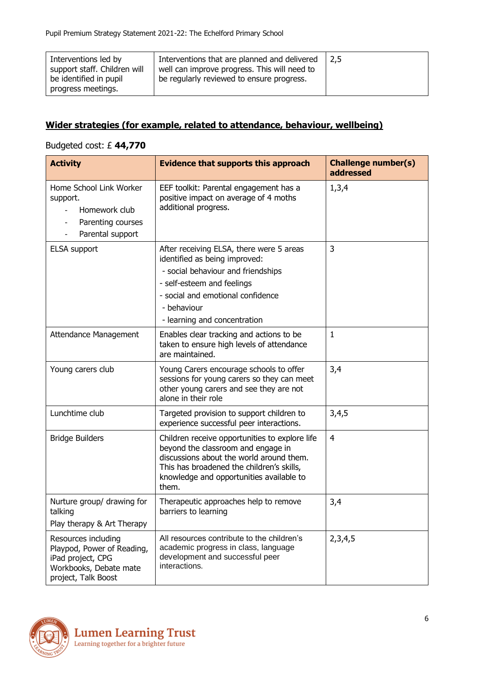| Interventions led by<br>support staff. Children will<br>be identified in pupil<br>progress meetings. | Interventions that are planned and delivered<br>well can improve progress. This will need to<br>be regularly reviewed to ensure progress. | $-2.5$ |
|------------------------------------------------------------------------------------------------------|-------------------------------------------------------------------------------------------------------------------------------------------|--------|
|                                                                                                      |                                                                                                                                           |        |

#### **Wider strategies (for example, related to attendance, behaviour, wellbeing)**

#### Budgeted cost: £ **44,770**

| <b>Activity</b>                                                                                                         | <b>Evidence that supports this approach</b>                                                                                                                                                                                        | <b>Challenge number(s)</b><br>addressed |
|-------------------------------------------------------------------------------------------------------------------------|------------------------------------------------------------------------------------------------------------------------------------------------------------------------------------------------------------------------------------|-----------------------------------------|
| Home School Link Worker<br>support.<br>Homework club<br>Parenting courses<br>Parental support                           | EEF toolkit: Parental engagement has a<br>positive impact on average of 4 moths<br>additional progress.                                                                                                                            | 1,3,4                                   |
| <b>ELSA</b> support                                                                                                     | After receiving ELSA, there were 5 areas<br>identified as being improved:<br>- social behaviour and friendships<br>- self-esteem and feelings<br>- social and emotional confidence<br>- behaviour<br>- learning and concentration  | 3                                       |
| Attendance Management                                                                                                   | Enables clear tracking and actions to be<br>taken to ensure high levels of attendance<br>are maintained.                                                                                                                           | 1                                       |
| Young carers club                                                                                                       | Young Carers encourage schools to offer<br>sessions for young carers so they can meet<br>other young carers and see they are not<br>alone in their role                                                                            | 3,4                                     |
| Lunchtime club                                                                                                          | Targeted provision to support children to<br>experience successful peer interactions.                                                                                                                                              | 3,4,5                                   |
| <b>Bridge Builders</b>                                                                                                  | Children receive opportunities to explore life<br>beyond the classroom and engage in<br>discussions about the world around them.<br>This has broadened the children's skills,<br>knowledge and opportunities available to<br>them. | 4                                       |
| Nurture group/ drawing for<br>talking<br>Play therapy & Art Therapy                                                     | Therapeutic approaches help to remove<br>barriers to learning                                                                                                                                                                      | 3,4                                     |
| Resources including<br>Playpod, Power of Reading,<br>iPad project, CPG<br>Workbooks, Debate mate<br>project, Talk Boost | All resources contribute to the children's<br>academic progress in class, language<br>development and successful peer<br>interactions.                                                                                             | 2,3,4,5                                 |

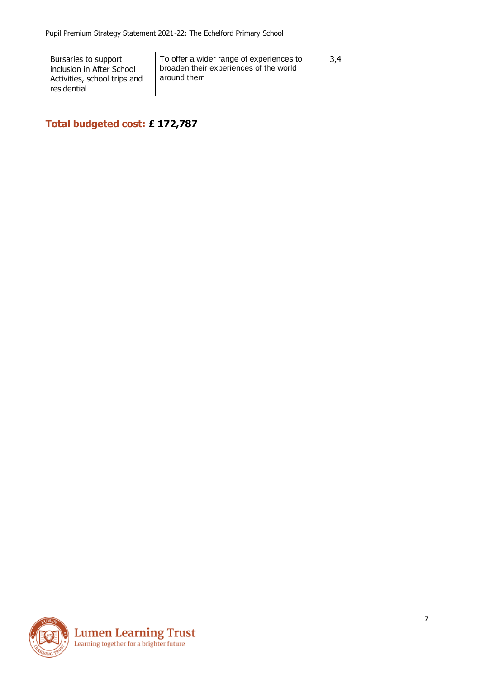| Bursaries to support<br>inclusion in After School<br>Activities, school trips and<br>residential | To offer a wider range of experiences to<br>broaden their experiences of the world<br>around them | -3.4 |
|--------------------------------------------------------------------------------------------------|---------------------------------------------------------------------------------------------------|------|
|--------------------------------------------------------------------------------------------------|---------------------------------------------------------------------------------------------------|------|

**Total budgeted cost: £ 172,787**

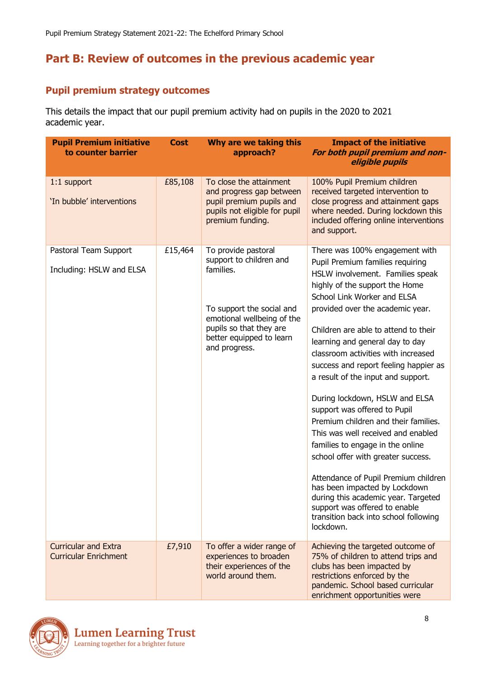# **Part B: Review of outcomes in the previous academic year**

### **Pupil premium strategy outcomes**

This details the impact that our pupil premium activity had on pupils in the 2020 to 2021 academic year.

| <b>Pupil Premium initiative</b><br>to counter barrier       | <b>Cost</b> | Why are we taking this<br>approach?                                                                                                                                                            | <b>Impact of the initiative</b><br>For both pupil premium and non-<br>eligible pupils                                                                                                                                                                                                                                                                                                                                                                                                                                                                                                                                                                                                                                                                                                                                                         |
|-------------------------------------------------------------|-------------|------------------------------------------------------------------------------------------------------------------------------------------------------------------------------------------------|-----------------------------------------------------------------------------------------------------------------------------------------------------------------------------------------------------------------------------------------------------------------------------------------------------------------------------------------------------------------------------------------------------------------------------------------------------------------------------------------------------------------------------------------------------------------------------------------------------------------------------------------------------------------------------------------------------------------------------------------------------------------------------------------------------------------------------------------------|
| 1:1 support<br>'In bubble' interventions                    | £85,108     | To close the attainment<br>and progress gap between<br>pupil premium pupils and<br>pupils not eligible for pupil<br>premium funding.                                                           | 100% Pupil Premium children<br>received targeted intervention to<br>close progress and attainment gaps<br>where needed. During lockdown this<br>included offering online interventions<br>and support.                                                                                                                                                                                                                                                                                                                                                                                                                                                                                                                                                                                                                                        |
| Pastoral Team Support<br>Including: HSLW and ELSA           | £15,464     | To provide pastoral<br>support to children and<br>families.<br>To support the social and<br>emotional wellbeing of the<br>pupils so that they are<br>better equipped to learn<br>and progress. | There was 100% engagement with<br>Pupil Premium families requiring<br>HSLW involvement. Families speak<br>highly of the support the Home<br>School Link Worker and ELSA<br>provided over the academic year.<br>Children are able to attend to their<br>learning and general day to day<br>classroom activities with increased<br>success and report feeling happier as<br>a result of the input and support.<br>During lockdown, HSLW and ELSA<br>support was offered to Pupil<br>Premium children and their families.<br>This was well received and enabled<br>families to engage in the online<br>school offer with greater success.<br>Attendance of Pupil Premium children<br>has been impacted by Lockdown<br>during this academic year. Targeted<br>support was offered to enable<br>transition back into school following<br>lockdown. |
| <b>Curricular and Extra</b><br><b>Curricular Enrichment</b> | £7,910      | To offer a wider range of<br>experiences to broaden<br>their experiences of the<br>world around them.                                                                                          | Achieving the targeted outcome of<br>75% of children to attend trips and<br>clubs has been impacted by<br>restrictions enforced by the<br>pandemic. School based curricular<br>enrichment opportunities were                                                                                                                                                                                                                                                                                                                                                                                                                                                                                                                                                                                                                                  |

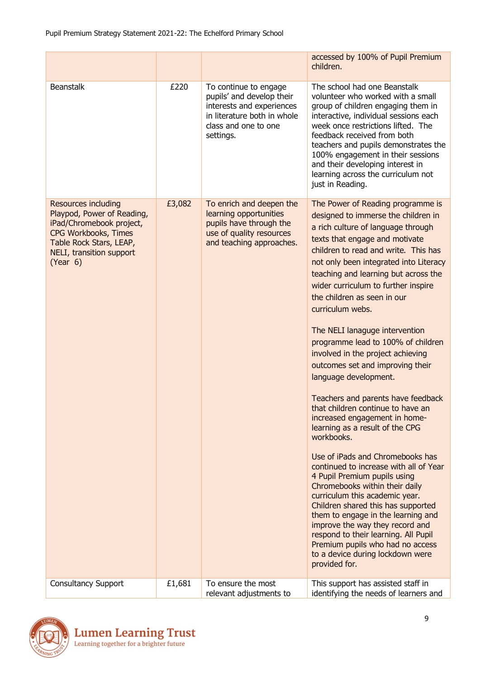|                                                                                                                                                                                 |        |                                                                                                                                                     | accessed by 100% of Pupil Premium<br>children.                                                                                                                                                                                                                                                                                                                                                                                                                                                                                                                                                                                                                                                                                                                                                                                                                                                                                                                                                                                                                                                                                                |
|---------------------------------------------------------------------------------------------------------------------------------------------------------------------------------|--------|-----------------------------------------------------------------------------------------------------------------------------------------------------|-----------------------------------------------------------------------------------------------------------------------------------------------------------------------------------------------------------------------------------------------------------------------------------------------------------------------------------------------------------------------------------------------------------------------------------------------------------------------------------------------------------------------------------------------------------------------------------------------------------------------------------------------------------------------------------------------------------------------------------------------------------------------------------------------------------------------------------------------------------------------------------------------------------------------------------------------------------------------------------------------------------------------------------------------------------------------------------------------------------------------------------------------|
| <b>Beanstalk</b>                                                                                                                                                                | £220   | To continue to engage<br>pupils' and develop their<br>interests and experiences<br>in literature both in whole<br>class and one to one<br>settings. | The school had one Beanstalk<br>volunteer who worked with a small<br>group of children engaging them in<br>interactive, individual sessions each<br>week once restrictions lifted. The<br>feedback received from both<br>teachers and pupils demonstrates the<br>100% engagement in their sessions<br>and their developing interest in<br>learning across the curriculum not<br>just in Reading.                                                                                                                                                                                                                                                                                                                                                                                                                                                                                                                                                                                                                                                                                                                                              |
| <b>Resources including</b><br>Playpod, Power of Reading,<br>iPad/Chromebook project,<br>CPG Workbooks, Times<br>Table Rock Stars, LEAP,<br>NELI, transition support<br>(Year 6) | £3,082 | To enrich and deepen the<br>learning opportunities<br>pupils have through the<br>use of quality resources<br>and teaching approaches.               | The Power of Reading programme is<br>designed to immerse the children in<br>a rich culture of language through<br>texts that engage and motivate<br>children to read and write. This has<br>not only been integrated into Literacy<br>teaching and learning but across the<br>wider curriculum to further inspire<br>the children as seen in our<br>curriculum webs.<br>The NELI lanaguge intervention<br>programme lead to 100% of children<br>involved in the project achieving<br>outcomes set and improving their<br>language development.<br>Teachers and parents have feedback<br>that children continue to have an<br>increased engagement in home-<br>learning as a result of the CPG<br>workbooks.<br>Use of iPads and Chromebooks has<br>continued to increase with all of Year<br>4 Pupil Premium pupils using<br>Chromebooks within their daily<br>curriculum this academic year.<br>Children shared this has supported<br>them to engage in the learning and<br>improve the way they record and<br>respond to their learning. All Pupil<br>Premium pupils who had no access<br>to a device during lockdown were<br>provided for. |
| <b>Consultancy Support</b>                                                                                                                                                      | £1,681 | To ensure the most<br>relevant adjustments to                                                                                                       | This support has assisted staff in<br>identifying the needs of learners and                                                                                                                                                                                                                                                                                                                                                                                                                                                                                                                                                                                                                                                                                                                                                                                                                                                                                                                                                                                                                                                                   |

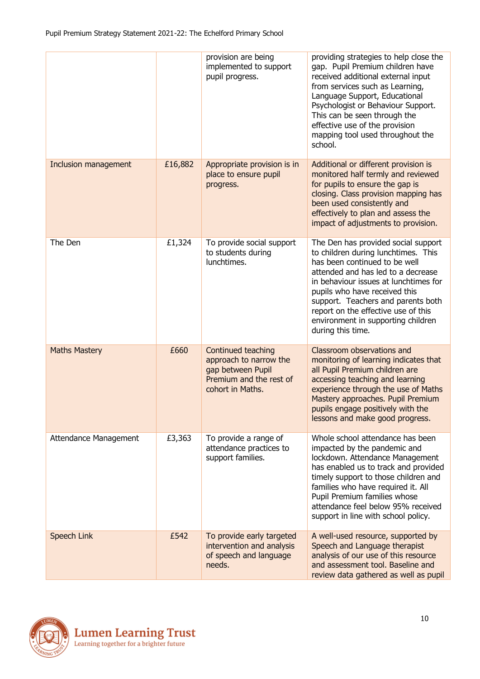|                       |         | provision are being<br>implemented to support<br>pupil progress.                                                 | providing strategies to help close the<br>gap. Pupil Premium children have<br>received additional external input<br>from services such as Learning,<br>Language Support, Educational<br>Psychologist or Behaviour Support.<br>This can be seen through the<br>effective use of the provision<br>mapping tool used throughout the<br>school.                         |
|-----------------------|---------|------------------------------------------------------------------------------------------------------------------|---------------------------------------------------------------------------------------------------------------------------------------------------------------------------------------------------------------------------------------------------------------------------------------------------------------------------------------------------------------------|
| Inclusion management  | £16,882 | Appropriate provision is in<br>place to ensure pupil<br>progress.                                                | Additional or different provision is<br>monitored half termly and reviewed<br>for pupils to ensure the gap is<br>closing. Class provision mapping has<br>been used consistently and<br>effectively to plan and assess the<br>impact of adjustments to provision.                                                                                                    |
| The Den               | £1,324  | To provide social support<br>to students during<br>lunchtimes.                                                   | The Den has provided social support<br>to children during lunchtimes. This<br>has been continued to be well<br>attended and has led to a decrease<br>in behaviour issues at lunchtimes for<br>pupils who have received this<br>support. Teachers and parents both<br>report on the effective use of this<br>environment in supporting children<br>during this time. |
| <b>Maths Mastery</b>  | £660    | Continued teaching<br>approach to narrow the<br>gap between Pupil<br>Premium and the rest of<br>cohort in Maths. | Classroom observations and<br>monitoring of learning indicates that<br>all Pupil Premium children are<br>accessing teaching and learning<br>experience through the use of Maths<br>Mastery approaches. Pupil Premium<br>pupils engage positively with the<br>lessons and make good progress.                                                                        |
| Attendance Management | £3,363  | To provide a range of<br>attendance practices to<br>support families.                                            | Whole school attendance has been<br>impacted by the pandemic and<br>lockdown. Attendance Management<br>has enabled us to track and provided<br>timely support to those children and<br>families who have required it. All<br>Pupil Premium families whose<br>attendance feel below 95% received<br>support in line with school policy.                              |
| Speech Link           | £542    | To provide early targeted<br>intervention and analysis<br>of speech and language<br>needs.                       | A well-used resource, supported by<br>Speech and Language therapist<br>analysis of our use of this resource<br>and assessment tool. Baseline and<br>review data gathered as well as pupil                                                                                                                                                                           |

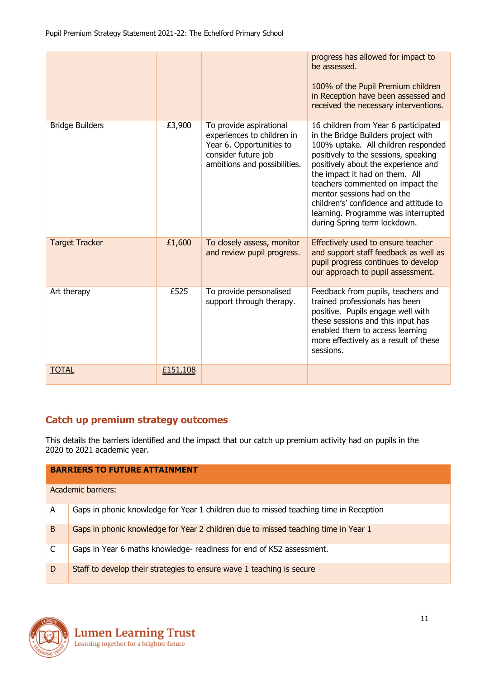|                        |          |                                                                                                                                          | progress has allowed for impact to<br>be assessed.<br>100% of the Pupil Premium children<br>in Reception have been assessed and<br>received the necessary interventions.                                                                                                                                                                                                                                               |
|------------------------|----------|------------------------------------------------------------------------------------------------------------------------------------------|------------------------------------------------------------------------------------------------------------------------------------------------------------------------------------------------------------------------------------------------------------------------------------------------------------------------------------------------------------------------------------------------------------------------|
| <b>Bridge Builders</b> | £3,900   | To provide aspirational<br>experiences to children in<br>Year 6. Opportunities to<br>consider future job<br>ambitions and possibilities. | 16 children from Year 6 participated<br>in the Bridge Builders project with<br>100% uptake. All children responded<br>positively to the sessions, speaking<br>positively about the experience and<br>the impact it had on them. All<br>teachers commented on impact the<br>mentor sessions had on the<br>children's' confidence and attitude to<br>learning. Programme was interrupted<br>during Spring term lockdown. |
| <b>Target Tracker</b>  | £1,600   | To closely assess, monitor<br>and review pupil progress.                                                                                 | Effectively used to ensure teacher<br>and support staff feedback as well as<br>pupil progress continues to develop<br>our approach to pupil assessment.                                                                                                                                                                                                                                                                |
| Art therapy            | £525     | To provide personalised<br>support through therapy.                                                                                      | Feedback from pupils, teachers and<br>trained professionals has been<br>positive. Pupils engage well with<br>these sessions and this input has<br>enabled them to access learning<br>more effectively as a result of these<br>sessions.                                                                                                                                                                                |
| <b>TOTAL</b>           | £151,108 |                                                                                                                                          |                                                                                                                                                                                                                                                                                                                                                                                                                        |

### **Catch up premium strategy outcomes**

This details the barriers identified and the impact that our catch up premium activity had on pupils in the 2020 to 2021 academic year.

|   | <b>BARRIERS TO FUTURE ATTAINMENT</b>                                                  |  |  |  |  |  |
|---|---------------------------------------------------------------------------------------|--|--|--|--|--|
|   | Academic barriers:                                                                    |  |  |  |  |  |
| A | Gaps in phonic knowledge for Year 1 children due to missed teaching time in Reception |  |  |  |  |  |
| B | Gaps in phonic knowledge for Year 2 children due to missed teaching time in Year 1    |  |  |  |  |  |
| C | Gaps in Year 6 maths knowledge- readiness for end of KS2 assessment.                  |  |  |  |  |  |
| D | Staff to develop their strategies to ensure wave 1 teaching is secure                 |  |  |  |  |  |

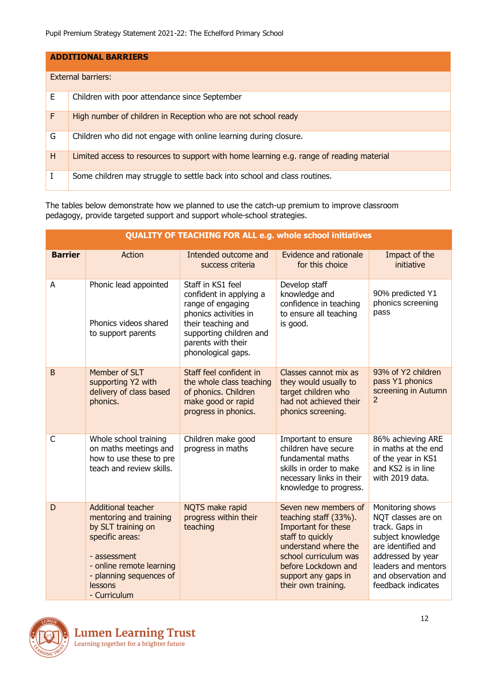|   | <b>ADDITIONAL BARRIERS</b>                                                               |  |  |  |  |  |  |
|---|------------------------------------------------------------------------------------------|--|--|--|--|--|--|
|   | <b>External barriers:</b>                                                                |  |  |  |  |  |  |
| Е | Children with poor attendance since September                                            |  |  |  |  |  |  |
| F | High number of children in Reception who are not school ready                            |  |  |  |  |  |  |
| G | Children who did not engage with online learning during closure.                         |  |  |  |  |  |  |
| H | Limited access to resources to support with home learning e.g. range of reading material |  |  |  |  |  |  |
| T | Some children may struggle to settle back into school and class routines.                |  |  |  |  |  |  |

The tables below demonstrate how we planned to use the catch-up premium to improve classroom pedagogy, provide targeted support and support whole-school strategies.

|                | <b>QUALITY OF TEACHING FOR ALL e.g. whole school initiatives</b>                                                                                                                               |                                                                                                                                                                                         |                                                                                                                                                                                                                |                                                                                                                                                                                              |  |
|----------------|------------------------------------------------------------------------------------------------------------------------------------------------------------------------------------------------|-----------------------------------------------------------------------------------------------------------------------------------------------------------------------------------------|----------------------------------------------------------------------------------------------------------------------------------------------------------------------------------------------------------------|----------------------------------------------------------------------------------------------------------------------------------------------------------------------------------------------|--|
| <b>Barrier</b> | Action                                                                                                                                                                                         | Intended outcome and<br>success criteria                                                                                                                                                | Evidence and rationale<br>for this choice                                                                                                                                                                      | Impact of the<br>initiative                                                                                                                                                                  |  |
| A              | Phonic lead appointed<br>Phonics videos shared<br>to support parents                                                                                                                           | Staff in KS1 feel<br>confident in applying a<br>range of engaging<br>phonics activities in<br>their teaching and<br>supporting children and<br>parents with their<br>phonological gaps. | Develop staff<br>knowledge and<br>confidence in teaching<br>to ensure all teaching<br>is good.                                                                                                                 | 90% predicted Y1<br>phonics screening<br>pass                                                                                                                                                |  |
| B              | Member of SLT<br>supporting Y2 with<br>delivery of class based<br>phonics.                                                                                                                     | Staff feel confident in<br>the whole class teaching<br>of phonics. Children<br>make good or rapid<br>progress in phonics.                                                               | Classes cannot mix as<br>they would usually to<br>target children who<br>had not achieved their<br>phonics screening.                                                                                          | 93% of Y2 children<br>pass Y1 phonics<br>screening in Autumn<br>2                                                                                                                            |  |
| $\mathsf{C}$   | Whole school training<br>on maths meetings and<br>how to use these to pre<br>teach and review skills.                                                                                          | Children make good<br>progress in maths                                                                                                                                                 | Important to ensure<br>children have secure<br>fundamental maths<br>skills in order to make<br>necessary links in their<br>knowledge to progress.                                                              | 86% achieving ARE<br>in maths at the end<br>of the year in KS1<br>and KS2 is in line<br>with 2019 data.                                                                                      |  |
| D              | <b>Additional teacher</b><br>mentoring and training<br>by SLT training on<br>specific areas:<br>- assessment<br>- online remote learning<br>- planning sequences of<br>lessons<br>- Curriculum | NQTS make rapid<br>progress within their<br>teaching                                                                                                                                    | Seven new members of<br>teaching staff (33%).<br>Important for these<br>staff to quickly<br>understand where the<br>school curriculum was<br>before Lockdown and<br>support any gaps in<br>their own training. | Monitoring shows<br>NQT classes are on<br>track. Gaps in<br>subject knowledge<br>are identified and<br>addressed by year<br>leaders and mentors<br>and observation and<br>feedback indicates |  |

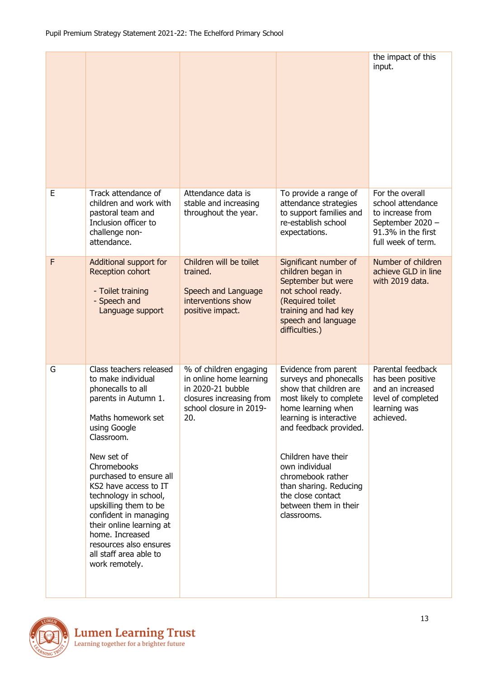|   |                                                                                                                                                                                                                                                                                                                                                                                                                                 |                                                                                                                                      |                                                                                                                                                                                                                                                                                                                                     | the impact of this<br>input.                                                                                             |
|---|---------------------------------------------------------------------------------------------------------------------------------------------------------------------------------------------------------------------------------------------------------------------------------------------------------------------------------------------------------------------------------------------------------------------------------|--------------------------------------------------------------------------------------------------------------------------------------|-------------------------------------------------------------------------------------------------------------------------------------------------------------------------------------------------------------------------------------------------------------------------------------------------------------------------------------|--------------------------------------------------------------------------------------------------------------------------|
| E | Track attendance of<br>children and work with<br>pastoral team and<br>Inclusion officer to<br>challenge non-<br>attendance.                                                                                                                                                                                                                                                                                                     | Attendance data is<br>stable and increasing<br>throughout the year.                                                                  | To provide a range of<br>attendance strategies<br>to support families and<br>re-establish school<br>expectations.                                                                                                                                                                                                                   | For the overall<br>school attendance<br>to increase from<br>September 2020 -<br>91.3% in the first<br>full week of term. |
| F | Additional support for<br>Reception cohort<br>- Toilet training<br>- Speech and<br>Language support                                                                                                                                                                                                                                                                                                                             | Children will be toilet<br>trained.<br>Speech and Language<br>interventions show<br>positive impact.                                 | Significant number of<br>children began in<br>September but were<br>not school ready.<br>(Required toilet<br>training and had key<br>speech and language<br>difficulties.)                                                                                                                                                          | Number of children<br>achieve GLD in line<br>with 2019 data.                                                             |
| G | Class teachers released<br>to make individual<br>phonecalls to all<br>parents in Autumn 1.<br>Maths homework set<br>using Google<br>Classroom.<br>New set of<br>Chromebooks<br>purchased to ensure all<br>KS2 have access to IT<br>technology in school,<br>upskilling them to be<br>confident in managing<br>their online learning at<br>home. Increased<br>resources also ensures<br>all staff area able to<br>work remotely. | % of children engaging<br>in online home learning<br>in 2020-21 bubble<br>closures increasing from<br>school closure in 2019-<br>20. | Evidence from parent<br>surveys and phonecalls<br>show that children are<br>most likely to complete<br>home learning when<br>learning is interactive<br>and feedback provided.<br>Children have their<br>own individual<br>chromebook rather<br>than sharing. Reducing<br>the close contact<br>between them in their<br>classrooms. | Parental feedback<br>has been positive<br>and an increased<br>level of completed<br>learning was<br>achieved.            |

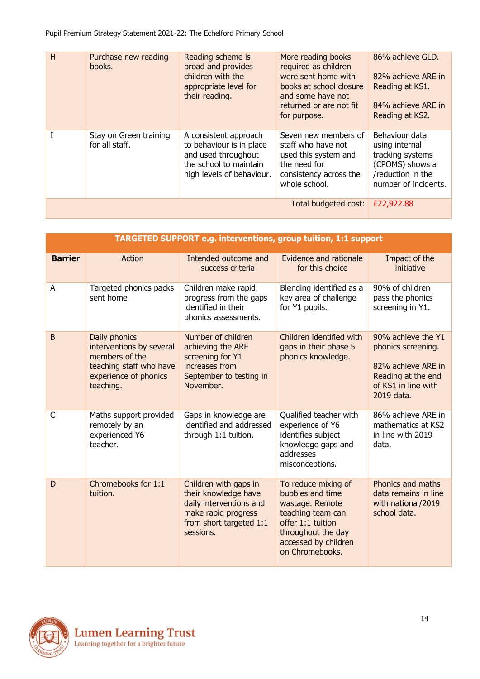| H | Purchase new reading<br>books.           | Reading scheme is<br>broad and provides<br>children with the<br>appropriate level for<br>their reading.                         | More reading books<br>required as children<br>were sent home with<br>books at school closure<br>and some have not<br>returned or are not fit<br>for purpose. | 86% achieve GLD.<br>82% achieve ARE in<br>Reading at KS1.<br>84% achieve ARE in<br>Reading at KS2.                   |
|---|------------------------------------------|---------------------------------------------------------------------------------------------------------------------------------|--------------------------------------------------------------------------------------------------------------------------------------------------------------|----------------------------------------------------------------------------------------------------------------------|
|   | Stay on Green training<br>for all staff. | A consistent approach<br>to behaviour is in place<br>and used throughout<br>the school to maintain<br>high levels of behaviour. | Seven new members of<br>staff who have not<br>used this system and<br>the need for<br>consistency across the<br>whole school.                                | Behaviour data<br>using internal<br>tracking systems<br>(CPOMS) shows a<br>/reduction in the<br>number of incidents. |
|   | £22,922.88                               |                                                                                                                                 |                                                                                                                                                              |                                                                                                                      |

|                | <b>TARGETED SUPPORT e.g. interventions, group tuition, 1:1 support</b>                                                       |                                                                                                                                         |                                                                                                                                                                       |                                                                                                                           |  |  |
|----------------|------------------------------------------------------------------------------------------------------------------------------|-----------------------------------------------------------------------------------------------------------------------------------------|-----------------------------------------------------------------------------------------------------------------------------------------------------------------------|---------------------------------------------------------------------------------------------------------------------------|--|--|
| <b>Barrier</b> | <b>Action</b>                                                                                                                | Intended outcome and<br>success criteria                                                                                                | Evidence and rationale<br>for this choice                                                                                                                             | Impact of the<br>initiative                                                                                               |  |  |
| A              | Targeted phonics packs<br>sent home                                                                                          | Children make rapid<br>progress from the gaps<br>identified in their<br>phonics assessments.                                            | Blending identified as a<br>key area of challenge<br>for Y1 pupils.                                                                                                   | 90% of children<br>pass the phonics<br>screening in Y1.                                                                   |  |  |
| B              | Daily phonics<br>interventions by several<br>members of the<br>teaching staff who have<br>experience of phonics<br>teaching. | Number of children<br>achieving the ARE<br>screening for Y1<br>increases from<br>September to testing in<br>November.                   | Children identified with<br>gaps in their phase 5<br>phonics knowledge.                                                                                               | 90% achieve the Y1<br>phonics screening.<br>82% achieve ARE in<br>Reading at the end<br>of KS1 in line with<br>2019 data. |  |  |
| C              | Maths support provided<br>remotely by an<br>experienced Y6<br>teacher.                                                       | Gaps in knowledge are<br>identified and addressed<br>through 1:1 tuition.                                                               | Qualified teacher with<br>experience of Y6<br>identifies subject<br>knowledge gaps and<br>addresses<br>misconceptions.                                                | 86% achieve ARE in<br>mathematics at KS2<br>in line with 2019<br>data.                                                    |  |  |
| D              | Chromebooks for 1:1<br>tuition.                                                                                              | Children with gaps in<br>their knowledge have<br>daily interventions and<br>make rapid progress<br>from short targeted 1:1<br>sessions. | To reduce mixing of<br>bubbles and time<br>wastage. Remote<br>teaching team can<br>offer 1:1 tuition<br>throughout the day<br>accessed by children<br>on Chromebooks. | Phonics and maths<br>data remains in line<br>with national/2019<br>school data.                                           |  |  |

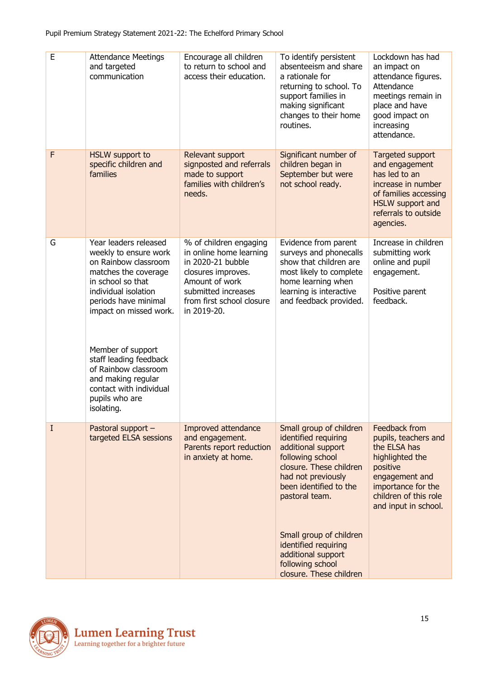| E        | <b>Attendance Meetings</b><br>and targeted<br>communication                                                                                                                                                                                                                                                                                           | Encourage all children<br>to return to school and<br>access their education.                                                                                                      | To identify persistent<br>absenteeism and share<br>a rationale for<br>returning to school. To<br>support families in<br>making significant<br>changes to their home<br>routines.                                                                                                                               | Lockdown has had<br>an impact on<br>attendance figures.<br>Attendance<br>meetings remain in<br>place and have<br>good impact on<br>increasing<br>attendance.                  |
|----------|-------------------------------------------------------------------------------------------------------------------------------------------------------------------------------------------------------------------------------------------------------------------------------------------------------------------------------------------------------|-----------------------------------------------------------------------------------------------------------------------------------------------------------------------------------|----------------------------------------------------------------------------------------------------------------------------------------------------------------------------------------------------------------------------------------------------------------------------------------------------------------|-------------------------------------------------------------------------------------------------------------------------------------------------------------------------------|
| F        | <b>HSLW</b> support to<br>specific children and<br>families                                                                                                                                                                                                                                                                                           | Relevant support<br>signposted and referrals<br>made to support<br>families with children's<br>needs.                                                                             | Significant number of<br>children began in<br>September but were<br>not school ready.                                                                                                                                                                                                                          | Targeted support<br>and engagement<br>has led to an<br>increase in number<br>of families accessing<br>HSLW support and<br>referrals to outside<br>agencies.                   |
| G        | Year leaders released<br>weekly to ensure work<br>on Rainbow classroom<br>matches the coverage<br>in school so that<br>individual isolation<br>periods have minimal<br>impact on missed work.<br>Member of support<br>staff leading feedback<br>of Rainbow classroom<br>and making regular<br>contact with individual<br>pupils who are<br>isolating. | % of children engaging<br>in online home learning<br>in 2020-21 bubble<br>closures improves.<br>Amount of work<br>submitted increases<br>from first school closure<br>in 2019-20. | Evidence from parent<br>surveys and phonecalls<br>show that children are<br>most likely to complete<br>home learning when<br>learning is interactive<br>and feedback provided.                                                                                                                                 | Increase in children<br>submitting work<br>online and pupil<br>engagement.<br>Positive parent<br>feedback.                                                                    |
| $\bf{I}$ | Pastoral support -<br>targeted ELSA sessions                                                                                                                                                                                                                                                                                                          | Improved attendance<br>and engagement.<br>Parents report reduction<br>in anxiety at home.                                                                                         | Small group of children<br>identified requiring<br>additional support<br>following school<br>closure. These children<br>had not previously<br>been identified to the<br>pastoral team.<br>Small group of children<br>identified requiring<br>additional support<br>following school<br>closure. These children | Feedback from<br>pupils, teachers and<br>the ELSA has<br>highlighted the<br>positive<br>engagement and<br>importance for the<br>children of this role<br>and input in school. |